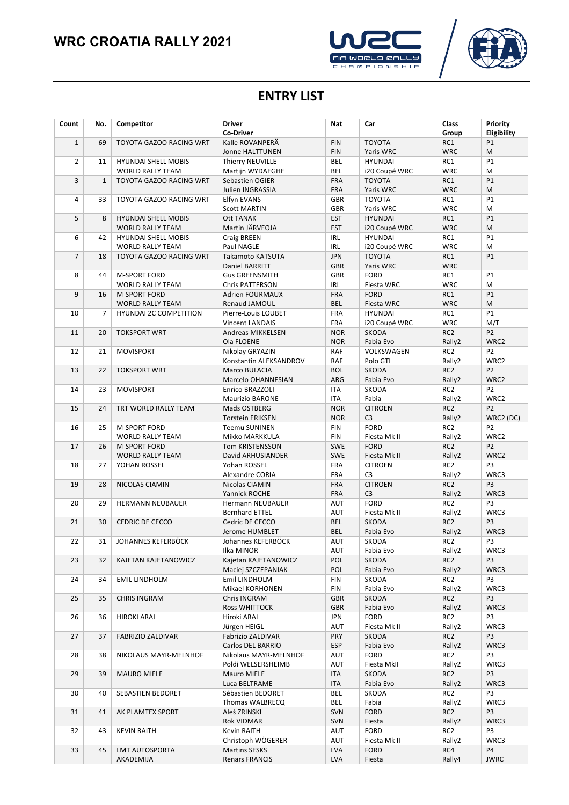# **WRC CROATIA RALLY 2021**





#### **ENTRY LIST**

| Count          | No.            | Competitor                    | <b>Driver</b><br><b>Co-Driver</b> | Nat                      | Car                              | <b>Class</b><br>Group     | Priority<br>Eligibility |
|----------------|----------------|-------------------------------|-----------------------------------|--------------------------|----------------------------------|---------------------------|-------------------------|
| $\mathbf{1}$   | 69             | TOYOTA GAZOO RACING WRT       | Kalle ROVANPERÄ                   | <b>FIN</b>               | <b>TOYOTA</b>                    | RC1                       | P1                      |
|                |                |                               | <b>Jonne HALTTUNEN</b>            | <b>FIN</b>               | Yaris WRC                        | <b>WRC</b>                | M                       |
| $\overline{2}$ | 11             | <b>HYUNDAI SHELL MOBIS</b>    | Thierry NEUVILLE                  | <b>BEL</b>               | <b>HYUNDAI</b>                   | RC1                       | P1                      |
|                |                | <b>WORLD RALLY TEAM</b>       | Martijn WYDAEGHE                  | <b>BEL</b>               | i20 Coupé WRC                    | <b>WRC</b>                | M                       |
| 3              | $\mathbf{1}$   | TOYOTA GAZOO RACING WRT       | Sebastien OGIER                   | <b>FRA</b>               | <b>TOYOTA</b>                    | RC1                       | P1                      |
|                |                |                               | Julien INGRASSIA                  | <b>FRA</b>               | Yaris WRC                        | <b>WRC</b>                | M                       |
| $\overline{4}$ | 33             | TOYOTA GAZOO RACING WRT       | Elfyn EVANS                       | <b>GBR</b>               | <b>TOYOTA</b>                    | RC1                       | P1                      |
|                |                |                               | <b>Scott MARTIN</b>               | <b>GBR</b>               | Yaris WRC                        | <b>WRC</b>                | M                       |
| 5              | 8              | <b>HYUNDAI SHELL MOBIS</b>    | Ott TÄNAK                         | <b>EST</b>               | HYUNDAI                          | RC1                       | P1                      |
|                |                | <b>WORLD RALLY TEAM</b>       | Martin JÄRVEOJA                   | <b>EST</b>               | i20 Coupé WRC                    | <b>WRC</b>                | M                       |
| 6              | 42             | <b>HYUNDAI SHELL MOBIS</b>    | Craig BREEN                       | <b>IRL</b>               | <b>HYUNDAI</b>                   | RC1                       | P1                      |
|                |                | <b>WORLD RALLY TEAM</b>       | Paul NAGLE                        | <b>IRL</b>               | i20 Coupé WRC                    | <b>WRC</b>                | М                       |
| $\overline{7}$ | 18             | TOYOTA GAZOO RACING WRT       | Takamoto KATSUTA                  | <b>JPN</b>               | <b>TOYOTA</b>                    | RC1                       | P1                      |
|                |                |                               | Daniel BARRITT                    | <b>GBR</b>               | Yaris WRC                        | <b>WRC</b>                |                         |
| 8              | 44             | <b>M-SPORT FORD</b>           | <b>Gus GREENSMITH</b>             | <b>GBR</b>               | <b>FORD</b>                      | RC1                       | P1                      |
|                |                | <b>WORLD RALLY TEAM</b>       | <b>Chris PATTERSON</b>            | <b>IRL</b>               | Fiesta WRC                       | <b>WRC</b>                | M                       |
| 9              | 16             | <b>M-SPORT FORD</b>           | <b>Adrien FOURMAUX</b>            | <b>FRA</b>               | <b>FORD</b>                      | RC1                       | P1                      |
|                |                | <b>WORLD RALLY TEAM</b>       | <b>Renaud JAMOUL</b>              | <b>BEL</b>               | Fiesta WRC                       | <b>WRC</b>                | M                       |
| 10             | $\overline{7}$ | <b>HYUNDAI 2C COMPETITION</b> | Pierre-Louis LOUBET               | FRA                      | <b>HYUNDAI</b>                   | RC1                       | P1                      |
|                |                |                               | <b>Vincent LANDAIS</b>            | FRA                      | i20 Coupé WRC                    | <b>WRC</b>                | M/T                     |
| 11             | 20             | <b>TOKSPORT WRT</b>           | Andreas MIKKELSEN                 | <b>NOR</b>               | SKODA                            | RC <sub>2</sub>           | P <sub>2</sub>          |
|                |                |                               | Ola FLOENE                        | <b>NOR</b>               | Fabia Evo                        | Rally2                    | WRC2                    |
| 12             | 21             | <b>MOVISPORT</b>              | Nikolay GRYAZIN                   | <b>RAF</b>               | VOLKSWAGEN                       | RC <sub>2</sub>           | P <sub>2</sub>          |
|                |                |                               | Konstantin ALEKSANDROV            | <b>RAF</b>               | Polo GTI                         | Rally2                    | WRC2                    |
| 13             | 22             | <b>TOKSPORT WRT</b>           | Marco BULACIA                     | <b>BOL</b>               | <b>SKODA</b>                     | RC <sub>2</sub>           | P <sub>2</sub>          |
|                |                |                               | Marcelo OHANNESIAN                | ARG                      | Fabia Evo                        | Rally2                    | WRC2                    |
| 14             | 23             | <b>MOVISPORT</b>              | Enrico BRAZZOLI                   | <b>ITA</b>               | SKODA                            | RC <sub>2</sub>           | P <sub>2</sub>          |
|                |                |                               | <b>Maurizio BARONE</b>            | <b>ITA</b>               | Fabia                            | Rally2                    | WRC2                    |
| 15             | 24             | TRT WORLD RALLY TEAM          | Mads OSTBERG                      | <b>NOR</b>               | <b>CITROEN</b>                   | RC <sub>2</sub>           | P <sub>2</sub>          |
|                |                |                               | <b>Torstein ERIKSEN</b>           | <b>NOR</b>               | C <sub>3</sub>                   | Rally2                    | WRC2 (DC)               |
| 16             | 25             | <b>M-SPORT FORD</b>           | <b>Teemu SUNINEN</b>              | <b>FIN</b>               | <b>FORD</b>                      | RC <sub>2</sub>           | P <sub>2</sub>          |
|                |                | <b>WORLD RALLY TEAM</b>       | Mikko MARKKULA                    | <b>FIN</b>               | Fiesta Mk II                     | Rally2                    | WRC2                    |
| 17             | 26             | <b>M-SPORT FORD</b>           | Tom KRISTENSSON                   | <b>SWE</b>               | <b>FORD</b>                      | RC <sub>2</sub>           | P <sub>2</sub>          |
|                |                | <b>WORLD RALLY TEAM</b>       | David ARHUSIANDER                 | <b>SWE</b>               | Fiesta Mk II                     | Rally2<br>RC <sub>2</sub> | WRC2<br>P3              |
| 18             | 27             | YOHAN ROSSEL                  | Yohan ROSSEL<br>Alexandre CORIA   | <b>FRA</b><br><b>FRA</b> | <b>CITROEN</b><br>C <sub>3</sub> | Rally2                    | WRC3                    |
| 19             | 28             | NICOLAS CIAMIN                | Nicolas CIAMIN                    | <b>FRA</b>               | <b>CITROEN</b>                   | RC <sub>2</sub>           | P3                      |
|                |                |                               | Yannick ROCHE                     | FRA                      | C <sub>3</sub>                   | Rally2                    | WRC3                    |
| 20             | 29             | <b>HERMANN NEUBAUER</b>       | <b>Hermann NEUBAUER</b>           | <b>AUT</b>               | <b>FORD</b>                      | RC <sub>2</sub>           | P <sub>3</sub>          |
|                |                |                               | <b>Bernhard ETTEL</b>             | <b>AUT</b>               | Fiesta Mk II                     | Rally2                    | WRC3                    |
| 21             | 30             | <b>CEDRIC DE CECCO</b>        | Cedric DE CECCO                   | <b>BEL</b>               | <b>SKODA</b>                     | RC <sub>2</sub>           | P <sub>3</sub>          |
|                |                |                               | Jerome HUMBLET                    | <b>BEL</b>               | Fabia Evo                        | Rally2                    | WRC3                    |
| 22             | 31             | JOHANNES KEFERBÖCK            | Johannes KEFERBÖCK                | AUT                      | SKODA                            | RC <sub>2</sub>           | P <sub>3</sub>          |
|                |                |                               | Ilka MINOR                        | AUT                      | Fabia Evo                        | Rally2                    | WRC3                    |
| 23             | 32             | KAJETAN KAJETANOWICZ          | Kajetan KAJETANOWICZ              | POL                      | SKODA                            | RC <sub>2</sub>           | P3                      |
|                |                |                               | Maciej SZCZEPANIAK                | POL                      | Fabia Evo                        | Rally2                    | WRC3                    |
| 24             | 34             | <b>EMIL LINDHOLM</b>          | Emil LINDHOLM                     | <b>FIN</b>               | <b>SKODA</b>                     | RC <sub>2</sub>           | P3                      |
|                |                |                               | Mikael KORHONEN                   | <b>FIN</b>               | Fabia Evo                        | Rally2                    | WRC3                    |
| 25             | 35             | <b>CHRIS INGRAM</b>           | Chris INGRAM                      | <b>GBR</b>               | SKODA                            | RC <sub>2</sub>           | P3                      |
|                |                |                               | <b>Ross WHITTOCK</b>              | <b>GBR</b>               | Fabia Evo                        | Rally2                    | WRC3                    |
| 26             | 36             | <b>HIROKI ARAI</b>            | Hiroki ARAI                       | JPN                      | <b>FORD</b>                      | RC <sub>2</sub>           | P3                      |
|                |                |                               | Jürgen HEIGL                      | <b>AUT</b>               | Fiesta Mk II                     | Rally2                    | WRC3                    |
| 27             | 37             | <b>FABRIZIO ZALDIVAR</b>      | Fabrizio ZALDIVAR                 | PRY                      | SKODA                            | RC <sub>2</sub>           | P3                      |
|                |                |                               | Carlos DEL BARRIO                 | <b>ESP</b>               | Fabia Evo                        | Rally2                    | WRC3                    |
| 28             | 38             | NIKOLAUS MAYR-MELNHOF         | Nikolaus MAYR-MELNHOF             | AUT                      | <b>FORD</b>                      | RC <sub>2</sub>           | P3                      |
|                |                |                               | Poldi WELSERSHEIMB                | AUT                      | Fiesta MkII                      | Rally2                    | WRC3                    |
| 29             | 39             | <b>MAURO MIELE</b>            | Mauro MIELE                       | ITA                      | SKODA                            | RC <sub>2</sub>           | P3                      |
|                |                |                               | Luca BELTRAME                     | ITA                      | Fabia Evo                        | Rally2                    | WRC3                    |
| 30             | 40             | SEBASTIEN BEDORET             | Sébastien BEDORET                 | BEL                      | SKODA                            | RC <sub>2</sub>           | P3                      |
|                |                |                               | Thomas WALBRECQ                   | BEL                      | Fabia                            | Rally2                    | WRC3                    |
| 31             | 41             | AK PLAMTEX SPORT              | Aleš ZRINSKI                      | <b>SVN</b><br><b>SVN</b> | <b>FORD</b>                      | RC <sub>2</sub><br>Rally2 | P3<br>WRC3              |
| 32             | 43             | <b>KEVIN RAITH</b>            | Rok VIDMAR<br>Kevin RAITH         | AUT                      | Fiesta<br><b>FORD</b>            | RC <sub>2</sub>           | P3                      |
|                |                |                               | Christoph WÖGERER                 | AUT                      | Fiesta Mk II                     | Rally2                    | WRC3                    |
| 33             | 45             | LMT AUTOSPORTA                | <b>Martins SESKS</b>              | <b>LVA</b>               | <b>FORD</b>                      | RC4                       | P4                      |
|                |                | AKADEMIJA                     | <b>Renars FRANCIS</b>             | <b>LVA</b>               | Fiesta                           | Rally4                    | <b>JWRC</b>             |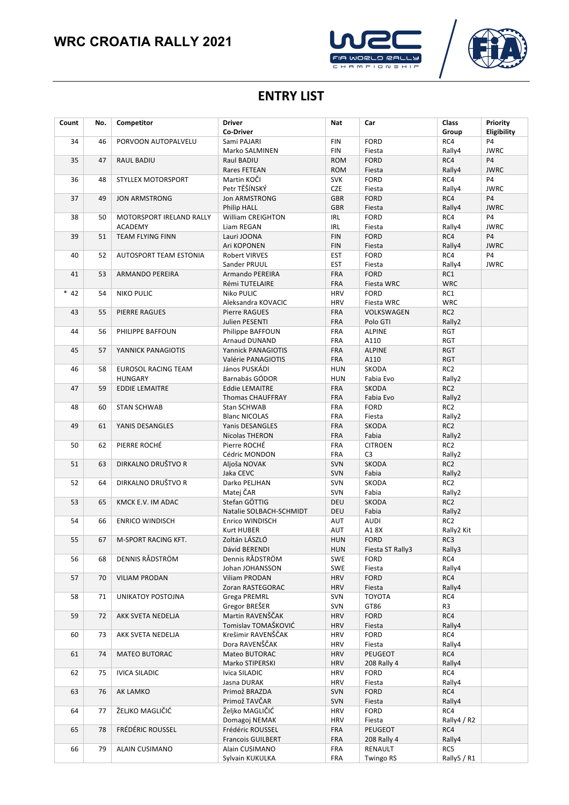## **WRC CROATIA RALLY 2021**





#### **ENTRY LIST**

| Count  | No. | Competitor                                | <b>Driver</b>                                    | Nat                      | Car                       | Class                         | Priority                 |
|--------|-----|-------------------------------------------|--------------------------------------------------|--------------------------|---------------------------|-------------------------------|--------------------------|
|        |     |                                           | <b>Co-Driver</b>                                 |                          |                           | Group                         | Eligibility              |
| 34     | 46  | PORVOON AUTOPALVELU                       | Sami PAJARI                                      | <b>FIN</b>               | <b>FORD</b>               | RC4                           | P <sub>4</sub>           |
|        |     |                                           | Marko SALMINEN                                   | <b>FIN</b>               | Fiesta                    | Rally4                        | <b>JWRC</b>              |
| 35     | 47  | RAUL BADIU                                | Raul BADIU                                       | <b>ROM</b>               | <b>FORD</b>               | RC4                           | <b>P4</b>                |
|        |     |                                           | Rares FETEAN                                     | <b>ROM</b>               | Fiesta                    | Rally4                        | <b>JWRC</b>              |
| 36     | 48  | STYLLEX MOTORSPORT                        | Martin KOČI                                      | <b>SVK</b>               | FORD                      | RC4                           | <b>P4</b>                |
|        |     |                                           | Petr TĚŠÍNSKÝ                                    | <b>CZE</b>               | Fiesta                    | Rally4                        | <b>JWRC</b>              |
| 37     | 49  | <b>JON ARMSTRONG</b>                      | <b>Jon ARMSTRONG</b>                             | <b>GBR</b>               | <b>FORD</b>               | RC4                           | <b>P4</b>                |
|        |     |                                           | Philip HALL                                      | <b>GBR</b>               | Fiesta                    | Rally4                        | <b>JWRC</b>              |
| 38     | 50  | MOTORSPORT IRELAND RALLY                  | William CREIGHTON                                | <b>IRL</b>               | <b>FORD</b>               | RC4                           | <b>P4</b>                |
| 39     | 51  | <b>ACADEMY</b><br><b>TEAM FLYING FINN</b> | Liam REGAN<br>Lauri JOONA                        | <b>IRL</b><br><b>FIN</b> | Fiesta<br><b>FORD</b>     | Rally4<br>RC4                 | <b>JWRC</b><br><b>P4</b> |
|        |     |                                           | Ari KOPONEN                                      | <b>FIN</b>               | Fiesta                    | Rally4                        | <b>JWRC</b>              |
| 40     | 52  | <b>AUTOSPORT TEAM ESTONIA</b>             | Robert VIRVES                                    | <b>EST</b>               | <b>FORD</b>               | RC4                           | <b>P4</b>                |
|        |     |                                           | Sander PRUUL                                     | <b>EST</b>               | Fiesta                    | Rally4                        | <b>JWRC</b>              |
| 41     | 53  | ARMANDO PEREIRA                           | Armando PEREIRA                                  | <b>FRA</b>               | <b>FORD</b>               | RC1                           |                          |
|        |     |                                           | Rémi TUTELAIRE                                   | <b>FRA</b>               | Fiesta WRC                | <b>WRC</b>                    |                          |
| $* 42$ | 54  | <b>NIKO PULIC</b>                         | Niko PULIC                                       | <b>HRV</b>               | <b>FORD</b>               | RC1                           |                          |
|        |     |                                           | Aleksandra KOVACIC                               | <b>HRV</b>               | Fiesta WRC                | <b>WRC</b>                    |                          |
| 43     | 55  | <b>PIERRE RAGUES</b>                      | Pierre RAGUES                                    | <b>FRA</b>               | VOLKSWAGEN                | RC <sub>2</sub>               |                          |
|        |     |                                           | Julien PESENTI                                   | <b>FRA</b>               | Polo GTI                  | Rally2                        |                          |
| 44     | 56  | PHILIPPE BAFFOUN                          | Philippe BAFFOUN                                 | <b>FRA</b>               | <b>ALPINE</b>             | <b>RGT</b>                    |                          |
|        |     |                                           | <b>Arnaud DUNAND</b>                             | <b>FRA</b>               | A110                      | RGT                           |                          |
| 45     | 57  | YANNICK PANAGIOTIS                        | Yannick PANAGIOTIS                               | <b>FRA</b>               | <b>ALPINE</b>             | <b>RGT</b>                    |                          |
|        |     |                                           | Valérie PANAGIOTIS                               | <b>FRA</b>               | A110                      | <b>RGT</b>                    |                          |
| 46     | 58  | EUROSOL RACING TEAM                       | János PUSKÁDI                                    | <b>HUN</b>               | SKODA                     | RC <sub>2</sub>               |                          |
|        |     | <b>HUNGARY</b>                            | Barnabás GÓDOR                                   | <b>HUN</b>               | Fabia Evo                 | Rally2                        |                          |
| 47     | 59  | <b>EDDIE LEMAITRE</b>                     | <b>Eddie LEMAITRE</b><br><b>Thomas CHAUFFRAY</b> | <b>FRA</b><br><b>FRA</b> | <b>SKODA</b><br>Fabia Evo | RC <sub>2</sub><br>Rally2     |                          |
| 48     | 60  | <b>STAN SCHWAB</b>                        | Stan SCHWAB                                      | <b>FRA</b>               | <b>FORD</b>               | RC <sub>2</sub>               |                          |
|        |     |                                           | <b>Blanc NICOLAS</b>                             | FRA                      | Fiesta                    | Rally2                        |                          |
| 49     | 61  | YANIS DESANGLES                           | Yanis DESANGLES                                  | <b>FRA</b>               | SKODA                     | RC <sub>2</sub>               |                          |
|        |     |                                           | Nicolas THERON                                   | <b>FRA</b>               | Fabia                     | Rally2                        |                          |
| 50     | 62  | PIERRE ROCHÉ                              | Pierre ROCHÉ                                     | FRA                      | <b>CITROEN</b>            | RC <sub>2</sub>               |                          |
|        |     |                                           | Cédric MONDON                                    | FRA                      | C <sub>3</sub>            | Rally2                        |                          |
| 51     | 63  | DIRKALNO DRUŠTVO R                        | Aljoša NOVAK                                     | <b>SVN</b>               | SKODA                     | RC <sub>2</sub>               |                          |
|        |     |                                           | Jaka CEVC                                        | SVN                      | Fabia                     | Rally2                        |                          |
| 52     | 64  | DIRKALNO DRUŠTVO R                        | Darko PELJHAN                                    | SVN                      | SKODA                     | RC <sub>2</sub>               |                          |
|        |     |                                           | Matej ČAR                                        | <b>SVN</b>               | Fabia                     | Rally2                        |                          |
| 53     | 65  | KMCK E.V. IM ADAC                         | Stefan GÖTTIG                                    | DEU                      | SKODA                     | RC <sub>2</sub>               |                          |
|        |     |                                           | Natalie SOLBACH-SCHMIDT                          | DEU                      | Fabia                     | Rally2                        |                          |
| 54     | 66  | <b>ENRICO WINDISCH</b>                    | Enrico WINDISCH<br><b>Kurt HUBER</b>             | <b>AUT</b><br><b>AUT</b> | <b>AUDI</b><br>A18X       | RC <sub>2</sub><br>Rally2 Kit |                          |
| 55     | 67  | M-SPORT RACING KFT.                       | Zoltán LÁSZLÓ                                    | <b>HUN</b>               | <b>FORD</b>               | RC3                           |                          |
|        |     |                                           | Dávid BERENDI                                    | <b>HUN</b>               | Fiesta ST Rally3          | Rally3                        |                          |
| 56     | 68  | DENNIS RÅDSTRÖM                           | Dennis RÅDSTRÖM                                  | SWE                      | <b>FORD</b>               | RC4                           |                          |
|        |     |                                           | Johan JOHANSSON                                  | SWE                      | Fiesta                    | Rally4                        |                          |
| 57     | 70  | <b>VILIAM PRODAN</b>                      | Viliam PRODAN                                    | <b>HRV</b>               | <b>FORD</b>               | RC4                           |                          |
|        |     |                                           | Zoran RASTEGORAC                                 | <b>HRV</b>               | Fiesta                    | Rally4                        |                          |
| 58     | 71  | UNIKATOY POSTOJNA                         | Grega PREMRL                                     | <b>SVN</b>               | <b>TOYOTA</b>             | RC4                           |                          |
|        |     |                                           | Gregor BREŠER                                    | <b>SVN</b>               | GT86                      | R <sub>3</sub>                |                          |
| 59     | 72  | AKK SVETA NEDELJA                         | Martin RAVENŠČAK                                 | <b>HRV</b>               | <b>FORD</b>               | RC4                           |                          |
|        |     |                                           | Tomislav TOMAŠKOVIĆ                              | <b>HRV</b>               | Fiesta                    | Rally4                        |                          |
| 60     | 73  | AKK SVETA NEDELJA                         | Krešimir RAVENŠČAK                               | <b>HRV</b>               | <b>FORD</b>               | RC4                           |                          |
|        |     |                                           | Dora RAVENŠČAK                                   | <b>HRV</b>               | Fiesta                    | Rally4                        |                          |
| 61     | 74  | <b>MATEO BUTORAC</b>                      | Mateo BUTORAC<br>Marko STIPERSKI                 | <b>HRV</b><br><b>HRV</b> | PEUGEOT<br>208 Rally 4    | RC4<br>Rally4                 |                          |
| 62     | 75  | <b>IVICA SILADIC</b>                      | Ivica SILADIC                                    | <b>HRV</b>               | FORD                      | RC4                           |                          |
|        |     |                                           | Jasna DURAK                                      | <b>HRV</b>               | Fiesta                    | Rally4                        |                          |
| 63     | 76  | AK LAMKO                                  | Primož BRAZDA                                    | SVN                      | <b>FORD</b>               | RC4                           |                          |
|        |     |                                           | Primož TAVČAR                                    | <b>SVN</b>               | Fiesta                    | Rally4                        |                          |
| 64     | 77  | ŽELJKO MAGLIČIĆ                           | Željko MAGLIČIĆ                                  | <b>HRV</b>               | <b>FORD</b>               | RC4                           |                          |
|        |     |                                           | Domagoj NEMAK                                    | <b>HRV</b>               | Fiesta                    | Rally4 / R2                   |                          |
| 65     | 78  | FRÉDÉRIC ROUSSEL                          | Frédéric ROUSSEL                                 | <b>FRA</b>               | PEUGEOT                   | RC4                           |                          |
|        |     |                                           | <b>Francois GUILBERT</b>                         | <b>FRA</b>               | 208 Rally 4               | Rally4                        |                          |
| 66     | 79  | ALAIN CUSIMANO                            | Alain CUSIMANO                                   | <b>FRA</b>               | RENAULT                   | RC5                           |                          |
|        |     |                                           | Sylvain KUKULKA                                  | FRA                      | Twingo RS                 | Rally5 / R1                   |                          |